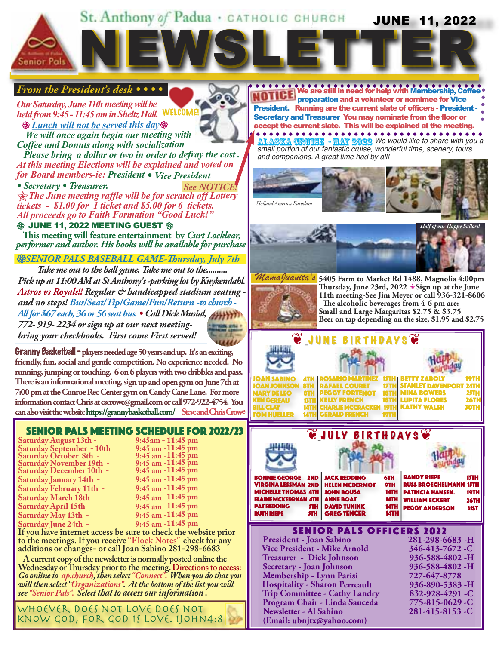#### St. Anthony of Padua · CATHOLIC CHURCH **JUNE 11, 2022**

NEWSLETTER EWSLETTER

#### *From the President's desk • • • •*

*Our Saturday, June 11th meeting will be held from 9:45 - 11:45 am in Sheltz Hall.* WELCOME! 3*Lunch will not be served this day*3  *We will once again begin our meeting with*

*Coffee and Donuts along with socialization* 

 *Please bring a dollar or two in order to defray the cost . At this meeting Elections will be explained and voted on for Board members-ie: President • Vice President*

• Secretary • Treasurer. See NOTICE

Sanior Pal

N*The June meeting raffle will be for scratch off Lottery tickets - \$1.00 for 1 ticket and \$5.00 for 6 tickets. All proceeds go to Faith Formation "Good Luck!"*

#### **\$\$ JUNE 11, 2022 MEETING GUEST \$\$**

 **This meeting will feature entertainment by** *Curt Locklear, performer and author. His books will be available for purchase*

#### *SENIOR PALS BASEBALL GAME-Thursday, July 7th* 3

*Take me out to the ball game. Take me out to the.......... Pick up at 11:00 AM at St Anthony's -parking lot by Kuykendahl. Astros vs Royals!! Regular & handicapped stadium seating and no steps! Bus/Seat/Tip/Game/Fun/Return -to church - All for \$67 each, 36 or 56 seat bus. • Call Dick Musial, 772- 919- 2234 or sign up at our next meetingbring your checkbooks. First come First served!*

Granny Basketball - **players needed age 50 years and up. It's an exciting, friendly, fun, social and gentle competition. No experience needed. No running, jumping or touching. 6 on 6 players with two dribbles and pass. There is an informational meeting, sign up and open gym on June 7th at 7:00 pm at the Conroe Rec Center gym on Candy Cane Lane. For more information contact Chris at cscrowe@gmail.com or call 972-922-4754. You can also visit the website https://grannybasketball.com/ Steve and Chris Crowe**

#### SENIOR PALS MEETING SCHEDULE FOR 2022/23

**Saturday August 13th - 9:45am - 11:45 pm Saturday September - 10th Saturday October 8th - 9:45 am -11:45 pm Saturday November 19th - 9:45 am -11:45 pm Saturday December 10th -Saturday January 14th -Saturday February 11th -Saturday March 18th -Saturday April 15th -Saturday May 13th -Saturday June 24th -**

| 9:45 am -11:45 pm     |  |
|-----------------------|--|
| 9:45 am -11:45 pm     |  |
| 9:45 am -11:45 pm     |  |
| 9:45 am -11:45 pm     |  |
| 9:45 am -11:45 pm     |  |
| 9:45 am -11:45 pm     |  |
| 9:45 am -11:45 pm     |  |
| 9:45 am -11:45 pm     |  |
| $9.45$ am $-11.45$ nm |  |

**If you have internet access be sure to check the website prior to the meetings. If you receive "Flock Notes" check for any additions or changes- or call Joan Sabino 281-298-6683**

 **A current copy of the newsletter is normally posted online the Wednesday or Thursday prior to the meeting. Directions to access:** *Go online to ap.church, then select "Connect". When you do that you will then select "Organizations". At the bottom of the list you will see "Senior Pals". Select that to access our information .*

. . . . whoever does not love does not know god, for god is love. 1John4:8 **We are still in need for help with Membership, Coffee**  preparation and a volunteer or nomimee for Vice President. Running are the current slate of officers - President - Secretary and Treasurer You may nominate from the floor or accept the current slate. This will be explained at the meeting. **ALASKA CRUISE - MAY 2022** We would like to share with you a *small portion of our fantastic cruise, wonderful time, scenery, tours and companions. A great time had by all!*

*Holland America Eurodam*



**5405 Farm to Market Rd 1488, Magnolia 4:00pm** *MamaJuanita's* **Thursday, June 23rd, 2022** N**Sign up at the June 11th meeting-See Jim Meyer or call 936-321-8606 The alcoholic beverages from 4-6 pm are: Small and Large Margaritas \$2.75 & \$3.75 Beer on tap depending on the size, \$1.95 and \$2.75**





#### SENIOR PALS OFFICERS 2022

**President - Joan Sabino 281-298-6683 -H Vice President - Mike Arnold 346-413-7672 -C Treasurer - Dick Johnson 936-588-4802 -H Secretary - Joan Johnson 936-588-4802 -H Membership - Lynn Parisi 727-647-8778 Hospitality - Sharon Perreault 936-890-5383 -H Trip Committee - Cathy Landry 832-928-4291 -C Program Chair - Linda Sauceda 775-815-0629 -C Newsletter - Al Sabino 281-415-8153 -C (Email: ubnjtx@yahoo.com)**